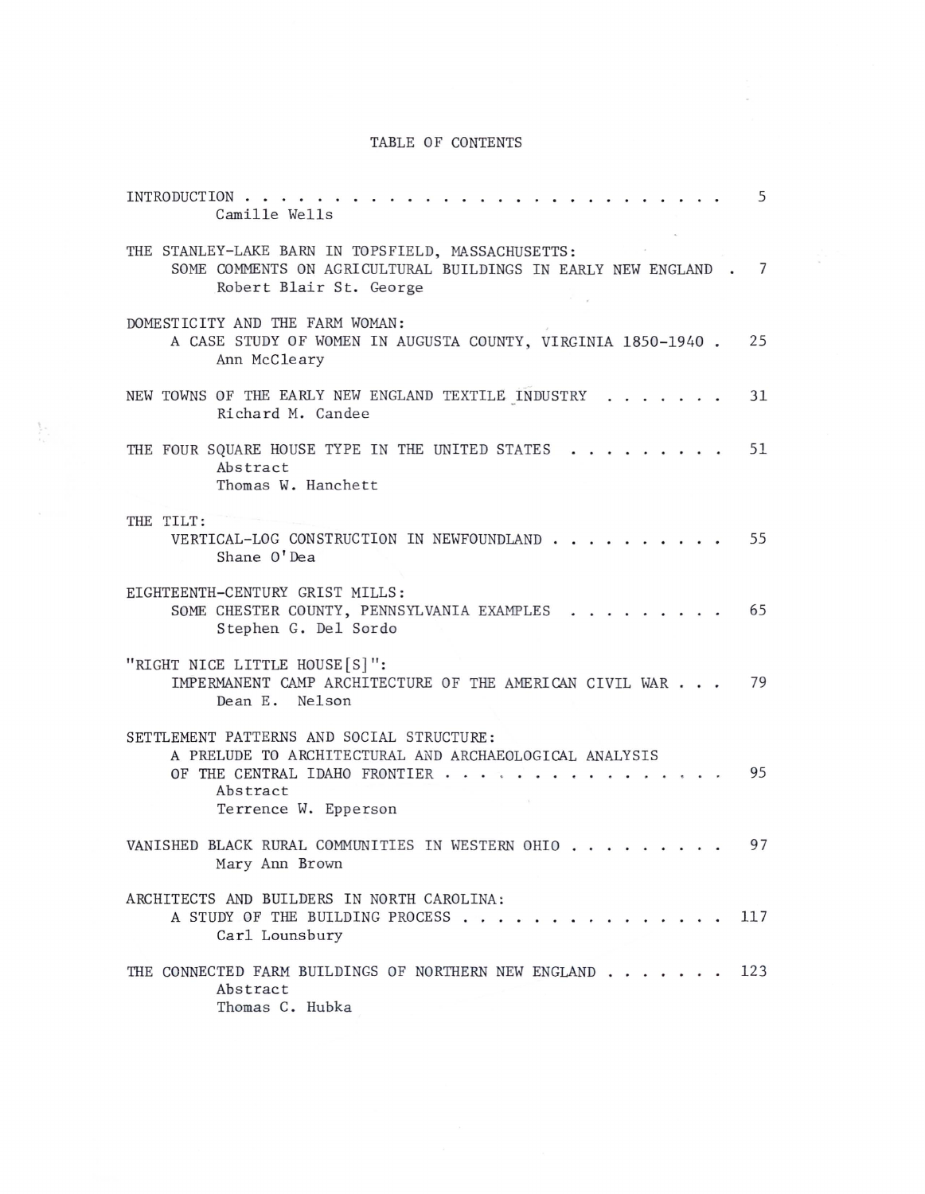## TABLE OF CONTENTS

÷,

| 5<br>INTRODUCTION<br>Camille Wells                                                                                                                                             |
|--------------------------------------------------------------------------------------------------------------------------------------------------------------------------------|
| THE STANLEY-LAKE BARN IN TOPSFIELD, MASSACHUSETTS:<br>SOME COMMENTS ON AGRICULTURAL BUILDINGS IN EARLY NEW ENGLAND.<br>$\overline{7}$<br>Robert Blair St. George               |
| DOMESTICITY AND THE FARM WOMAN:<br>A CASE STUDY OF WOMEN IN AUGUSTA COUNTY, VIRGINIA 1850-1940.<br>25<br>Ann McCleary                                                          |
| NEW TOWNS OF THE EARLY NEW ENGLAND TEXTILE INDUSTRY<br>31<br>Richard M. Candee                                                                                                 |
| THE FOUR SQUARE HOUSE TYPE IN THE UNITED STATES<br>51<br>Abstract<br>Thomas W. Hanchett                                                                                        |
| THE TILT:<br>55<br>VERTICAL-LOG CONSTRUCTION IN NEWFOUNDLAND<br>Shane O'Dea                                                                                                    |
| EIGHTEENTH-CENTURY GRIST MILLS:<br>65<br>SOME CHESTER COUNTY, PENNSYLVANIA EXAMPLES<br>Stephen G. Del Sordo                                                                    |
| "RIGHT NICE LITTLE HOUSE [S]":<br>IMPERMANENT CAMP ARCHITECTURE OF THE AMERICAN CIVIL WAR<br>79<br>Dean E. Nelson                                                              |
| SETTLEMENT PATTERNS AND SOCIAL STRUCTURE:<br>A PRELUDE TO ARCHITECTURAL AND ARCHAEOLOGICAL ANALYSIS<br>95<br>OF THE CENTRAL IDAHO FRONTIER<br>Abstract<br>Terrence W. Epperson |
| 97<br>VANISHED BLACK RURAL COMMUNITIES IN WESTERN OHIO<br>Mary Ann Brown                                                                                                       |
| ARCHITECTS AND BUILDERS IN NORTH CAROLINA:<br>117<br>A STUDY OF THE BUILDING PROCESS<br>Carl Lounsbury                                                                         |
| THE CONNECTED FARM BUILDINGS OF NORTHERN NEW ENGLAND<br>123<br>Abstract<br>Thomas C. Hubka                                                                                     |

 $\sum_{\substack{p=1\\ p\neq p}}^\infty$